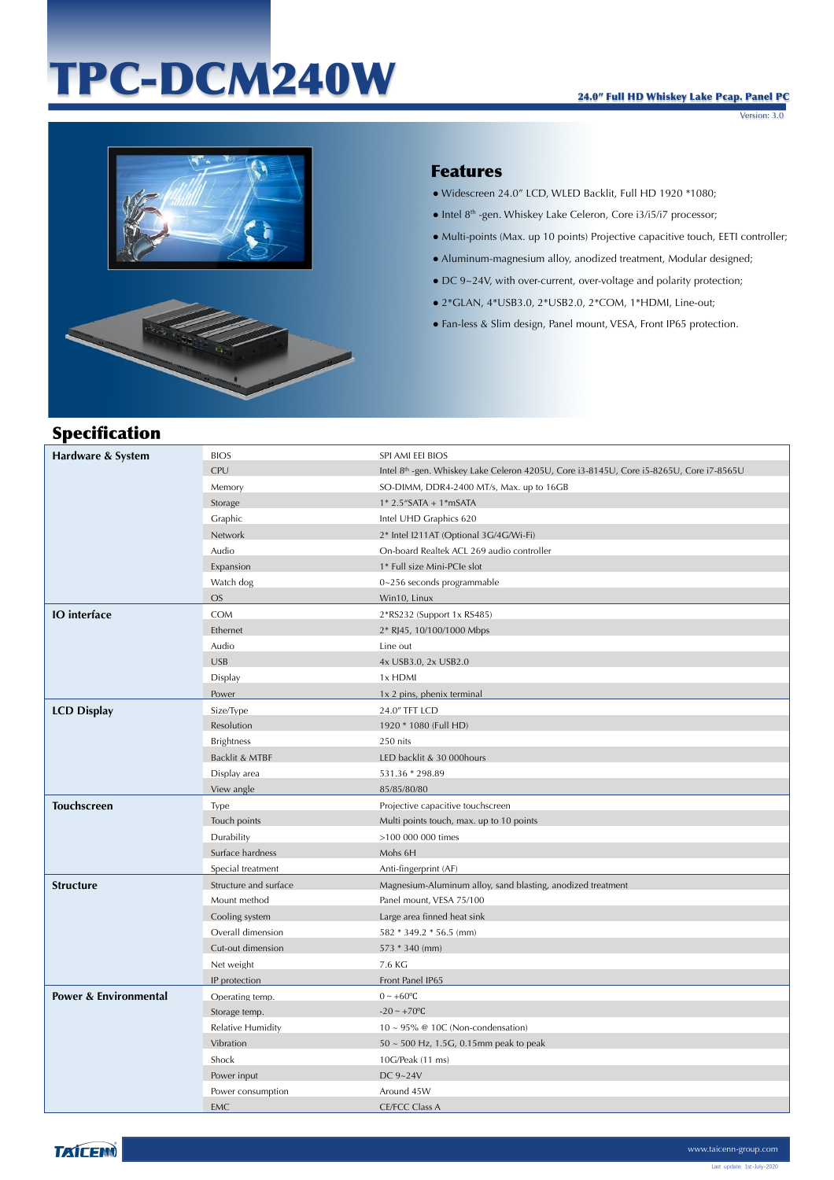# TPC-DCM240W

Version: 3.0



### Features

- Widescreen 24.0" LCD, WLED Backlit, Full HD 1920 \*1080;
- Intel 8<sup>th</sup> -gen. Whiskey Lake Celeron, Core i3/i5/i7 processor;
- Multi-points (Max. up 10 points) Projective capacitive touch, EETI controller;
- Aluminum-magnesium alloy, anodized treatment, Modular designed;
- DC 9~24V, with over-current, over-voltage and polarity protection;
- 2\*GLAN, 4\*USB3.0, 2\*USB2.0, 2\*COM, 1\*HDMI, Line-out;
- Fan-less & Slim design, Panel mount, VESA, Front IP65 protection.

## Specification

| Hardware & System                | <b>BIOS</b>           | SPI AMI EEI BIOS                                                                                    |
|----------------------------------|-----------------------|-----------------------------------------------------------------------------------------------------|
|                                  | <b>CPU</b>            | Intel 8 <sup>th</sup> -gen. Whiskey Lake Celeron 4205U, Core i3-8145U, Core i5-8265U, Core i7-8565U |
|                                  | Memory                | SO-DIMM, DDR4-2400 MT/s, Max. up to 16GB                                                            |
|                                  | Storage               | $1*2.5$ "SATA + $1*$ mSATA                                                                          |
|                                  | Graphic               | Intel UHD Graphics 620                                                                              |
|                                  | Network               | 2* Intel I211AT (Optional 3G/4G/Wi-Fi)                                                              |
|                                  | Audio                 | On-board Realtek ACL 269 audio controller                                                           |
|                                  | Expansion             | 1* Full size Mini-PCIe slot                                                                         |
|                                  | Watch dog             | 0~256 seconds programmable                                                                          |
|                                  | <b>OS</b>             | Win10, Linux                                                                                        |
| <b>IO</b> interface              | <b>COM</b>            | 2*RS232 (Support 1x RS485)                                                                          |
|                                  | Ethernet              | 2* RJ45, 10/100/1000 Mbps                                                                           |
|                                  | Audio                 | Line out                                                                                            |
|                                  | <b>USB</b>            | 4x USB3.0, 2x USB2.0                                                                                |
|                                  | Display               | 1x HDMI                                                                                             |
|                                  | Power                 | 1x 2 pins, phenix terminal                                                                          |
| <b>LCD Display</b>               | Size/Type             | 24.0" TFT LCD                                                                                       |
|                                  | Resolution            | 1920 * 1080 (Full HD)                                                                               |
|                                  | <b>Brightness</b>     | 250 nits                                                                                            |
|                                  | Backlit & MTBF        | LED backlit & 30 000hours                                                                           |
|                                  | Display area          | 531.36 * 298.89                                                                                     |
|                                  | View angle            | 85/85/80/80                                                                                         |
| <b>Touchscreen</b>               | Type                  | Projective capacitive touchscreen                                                                   |
|                                  | Touch points          | Multi points touch, max. up to 10 points                                                            |
|                                  | Durability            | >100 000 000 times                                                                                  |
|                                  | Surface hardness      | Mohs 6H                                                                                             |
|                                  | Special treatment     | Anti-fingerprint (AF)                                                                               |
| <b>Structure</b>                 | Structure and surface | Magnesium-Aluminum alloy, sand blasting, anodized treatment                                         |
|                                  | Mount method          | Panel mount, VESA 75/100                                                                            |
|                                  | Cooling system        | Large area finned heat sink                                                                         |
|                                  | Overall dimension     | 582 * 349.2 * 56.5 (mm)                                                                             |
|                                  | Cut-out dimension     | $573 * 340$ (mm)                                                                                    |
|                                  | Net weight            | 7.6 KG                                                                                              |
|                                  | IP protection         | Front Panel IP65                                                                                    |
| <b>Power &amp; Environmental</b> | Operating temp.       | $0 \sim +60$ °C                                                                                     |
|                                  | Storage temp.         | $-20 \sim +70$ °C                                                                                   |
|                                  | Relative Humidity     | $10 \sim 95\%$ @ 10C (Non-condensation)                                                             |
|                                  | Vibration             | $50 \sim 500$ Hz, 1.5G, 0.15mm peak to peak                                                         |
|                                  | Shock                 | 10G/Peak (11 ms)                                                                                    |
|                                  | Power input           | DC 9~24V                                                                                            |
|                                  | Power consumption     | Around 45W                                                                                          |
|                                  | <b>EMC</b>            | <b>CE/FCC Class A</b>                                                                               |